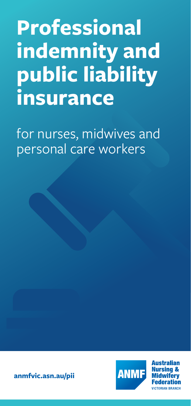# **Professional indemnity and public liability insurance**

for nurses, midwives and personal care workers





**Australian Federation VICTORIAN BRANCH**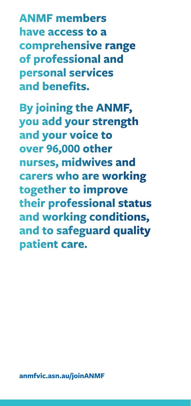**ANMF members have access to a comprehensive range of professional and personal services and benefits.** 

**By joining the ANMF, you add your strength and your voice to over 96,000 other nurses, midwives and carers who are working together to improve their professional status and working conditions, and to safeguard quality patient care.**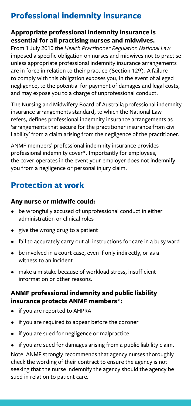# **Professional indemnity insurance**

#### **Appropriate professional indemnity insurance is essential for all practising nurses and midwives.**

From 1 July 2010 the *Health Practitioner Regulation National Law* imposed a specific obligation on nurses and midwives not to practise unless appropriate professional indemnity insurance arrangements are in force in relation to their practice (Section 129). A failure to comply with this obligation exposes you, in the event of alleged negligence, to the potential for payment of damages and legal costs, and may expose you to a charge of unprofessional conduct.

The Nursing and Midwifery Board of Australia professional indemnity insurance arrangements standard, to which the National Law refers, defines professional indemnity insurance arrangements as 'arrangements that secure for the practitioner insurance from civil liability' from a claim arising from the negligence of the practitioner.

ANMF members' professional indemnity insurance provides professional indemnity cover\*. Importantly for employees, the cover operates in the event your employer does not indemnify you from a negligence or personal injury claim.

# **Protection at work**

#### **Any nurse or midwife could:**

- be wrongfully accused of unprofessional conduct in either administration or clinical roles
- give the wrong drug to a patient
- fail to accurately carry out all instructions for care in a busy ward
- be involved in a court case, even if only indirectly, or as a witness to an incident
- make a mistake because of workload stress, insufficient information or other reasons.

#### **ANMF professional indemnity and public liability insurance protects ANMF members\*:**

- if you are reported to AHPRA
- if you are required to appear before the coroner
- if you are sued for negligence or malpractice
- if you are sued for damages arising from a public liability claim.

Note: ANMF strongly recommends that agency nurses thoroughly check the wording of their contract to ensure the agency is not seeking that the nurse indemnify the agency should the agency be sued in relation to patient care.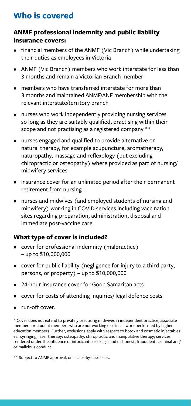# **Who is covered**

#### **ANMF professional indemnity and public liability insurance covers:**

- financial members of the ANMF (Vic Branch) while undertaking their duties as employees in Victoria
- ANMF (Vic Branch) members who work interstate for less than 3 months and remain a Victorian Branch member
- members who have transferred interstate for more than 3 months and maintained ANMF/ANF membership with the relevant interstate/territory branch
- nurses who work independently providing nursing services so long as they are suitably qualified, practising within their scope and not practising as a registered company \*\*
- nurses engaged and qualified to provide alternative or natural therapy, for example acupuncture, aromatherapy, naturopathy, massage and reflexology (but excluding chiropractic or osteopathy) where provided as part of nursing/ midwifery services
- insurance cover for an unlimited period after their permanent retirement from nursing
- nurses and midwives (and employed students of nursing and midwifery) working in COVID services including vaccination sites regarding preparation, administration, disposal and immediate post-vaccine care.

#### **What type of cover is included?**

- cover for professional indemnity (malpractice) – up to \$10,000,000
- cover for public liability (negligence for injury to a third party, persons, or property) – up to \$10,000,000
- 24-hour insurance cover for Good Samaritan acts
- cover for costs of attending inquiries/ legal defence costs
- run-off cover.

\* Cover does not extend to privately practising midwives in independent practice, associate members or student members who are not working or clinical work performed by higher education members. Further, exclusions apply with respect to botox and cosmetic injectables; ear syringing; laser therapy; osteopathy, chiropractic and manipulative therapy; services rendered under the influence of intoxicants or drugs; and dishonest, fraudulent, criminal and/ or malicious conduct.

\*\* Subject to ANMF approval, on a case-by-case basis.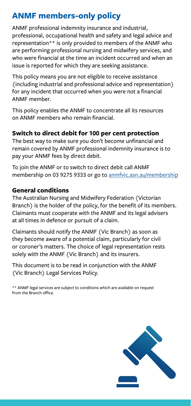## **ANMF members-only policy**

ANMF professional indemnity insurance and industrial, professional, occupational health and safety and legal advice and representation\*\* is only provided to members of the ANMF who are performing professional nursing and midwifery services, and who were financial at the time an incident occurred and when an issue is reported for which they are seeking assistance.

This policy means you are not eligible to receive assistance (including industrial and professional advice and representation) for any incident that occurred when you were not a financial ANMF member.

This policy enables the ANMF to concentrate all its resources on ANMF members who remain financial.

#### **Switch to direct debit for 100 per cent protection**

The best way to make sure you don't become unfinancial and remain covered by ANMF professional indemnity insurance is to pay your ANMF fees by direct debit.

To join the ANMF or to switch to direct debit call ANMF membership on 03 9275 9333 or go to [anmfvic.asn.au/membership](https://www.anmfvic.asn.au/membership)

#### **General conditions**

The Australian Nursing and Midwifery Federation (Victorian Branch) is the holder of the policy, for the benefit of its members. Claimants must cooperate with the ANMF and its legal advisers at all times in defence or pursuit of a claim.

Claimants should notify the ANMF (Vic Branch) as soon as they become aware of a potential claim, particularly for civil or coroner's matters. The choice of legal representation rests solely with the ANMF (Vic Branch) and its insurers.

This document is to be read in conjunction with the ANMF (Vic Branch) Legal Services Policy.

\*\* ANMF legal services are subject to conditions which are available on request from the Branch office.

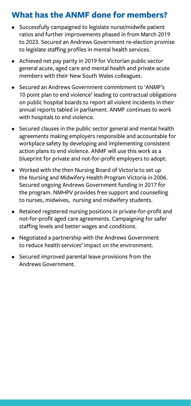## **What has the ANMF done for members?**

- Successfully campaigned to legislate nurse/midwife patient ratios and further improvements phased in from March 2019 to 2023. Secured an Andrews Government re-election promise to legislate staffing profiles in mental health services.
- Achieved net pay parity in 2019 for Victorian public sector general acute, aged care and mental health and private acute members with their New South Wales colleagues.
- Secured an Andrews Government commitment to 'ANMF's 10 point plan to end violence' leading to contractual obligations on public hospital boards to report all violent incidents in their annual reports tabled in parliament. ANMF continues to work with hospitals to end violence.
- Secured clauses in the public sector general and mental health agreements making employers responsible and accountable for workplace safety by developing and implementing consistent action plans to end violence. ANMF will use this work as a blueprint for private and not-for-profit employers to adopt.
- Worked with the then Nursing Board of Victoria to set up the Nursing and Midwifery Health Program Victoria in 2006. Secured ongoing Andrews Government funding in 2017 for the program. NMHPV provides free support and counselling to nurses, midwives, nursing and midwifery students.
- Retained registered nursing positions in private-for-profit and not-for-profit aged care agreements. Campaigning for safer staffing levels and better wages and conditions.
- Negotiated a partnership with the Andrews Government to reduce health services' impact on the environment.
- Secured improved parental leave provisions from the Andrews Government.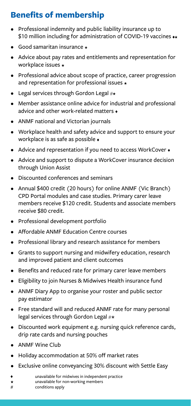# **Benefits of membership**

- Professional indemnity and public liability insurance up to \$10 million including for administration of COVID-19 vaccines  $\leftrightarrow$
- $\bullet$  Good samaritan insurance  $\star$
- Advice about pay rates and entitlements and representation for workplace issues
- Professional advice about scope of practice, career progression and representation for professional issues  $\star$
- Legal services through Gordon Legal  $\#$ \*
- Member assistance online advice for industrial and professional advice and other work-related matters  $\triangle$
- ANMF national and Victorian journals
- Workplace health and safety advice and support to ensure your workplace is as safe as possible
- Advice and representation if you need to access WorkCover •
- Advice and support to dispute a WorkCover insurance decision through Union Assist
- Discounted conferences and seminars
- Annual \$400 credit (20 hours) for online ANMF (Vic Branch) CPD Portal modules and case studies. Primary carer leave members receive \$120 credit. Students and associate members receive \$80 credit.
- Professional development portfolio
- Affordable ANMF Education Centre courses
- Professional library and research assistance for members
- Grants to support nursing and midwifery education, research and improved patient and client outcomes
- Benefits and reduced rate for primary carer leave members
- Eligibility to join Nurses & Midwives Health insurance fund
- ANMF Diary App to organise your roster and public sector pay estimator
- Free standard will and reduced ANMF rate for many personal legal services through Gordon Legal #★
- Discounted work equipment e.g. nursing quick reference cards, drip rate cards and nursing pouches
- ANMF Wine Club
- Holiday accommodation at 50% off market rates
- Exclusive online conveyancing 30% discount with Settle Easy
- unavailable for midwives in independent practice
- unavailable for non-working members  $\star$
- # conditions apply